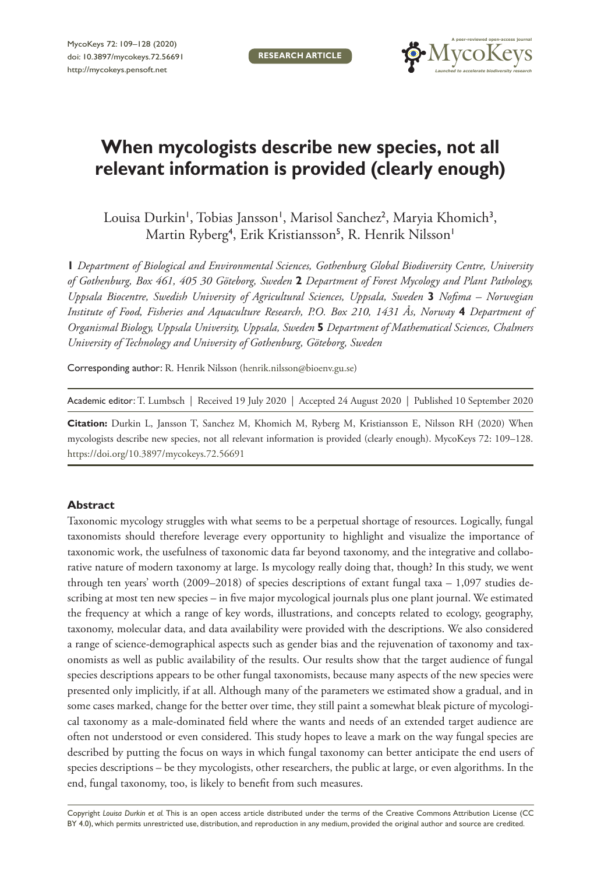**RESEARCH ARTICLE**



# **When mycologists describe new species, not all relevant information is provided (clearly enough)**

Louisa Durkin', Tobias Jansson', Marisol Sanchez<sup>2</sup>, Maryia Khomich<sup>3</sup>, Martin Ryberg<sup>4</sup>, Erik Kristiansson<sup>5</sup>, R. Henrik Nilsson'

**1** *Department of Biological and Environmental Sciences, Gothenburg Global Biodiversity Centre, University of Gothenburg, Box 461, 405 30 Göteborg, Sweden* **2** *Department of Forest Mycology and Plant Pathology, Uppsala Biocentre, Swedish University of Agricultural Sciences, Uppsala, Sweden* **3** *Nofima – Norwegian Institute of Food, Fisheries and Aquaculture Research, P.O. Box 210, 1431 Ås, Norway* **4** *Department of Organismal Biology, Uppsala University, Uppsala, Sweden* **5** *Department of Mathematical Sciences, Chalmers University of Technology and University of Gothenburg, Göteborg, Sweden*

Corresponding author: R. Henrik Nilsson [\(henrik.nilsson@bioenv.gu.se\)](mailto:henrik.nilsson@bioenv.gu.se)

Academic editor: T. Lumbsch | Received 19 July 2020 | Accepted 24 August 2020 | Published 10 September 2020

**Citation:** Durkin L, Jansson T, Sanchez M, Khomich M, Ryberg M, Kristiansson E, Nilsson RH (2020) When mycologists describe new species, not all relevant information is provided (clearly enough). MycoKeys 72: 109–128. <https://doi.org/10.3897/mycokeys.72.56691>

## **Abstract**

Taxonomic mycology struggles with what seems to be a perpetual shortage of resources. Logically, fungal taxonomists should therefore leverage every opportunity to highlight and visualize the importance of taxonomic work, the usefulness of taxonomic data far beyond taxonomy, and the integrative and collaborative nature of modern taxonomy at large. Is mycology really doing that, though? In this study, we went through ten years' worth (2009–2018) of species descriptions of extant fungal taxa – 1,097 studies describing at most ten new species – in five major mycological journals plus one plant journal. We estimated the frequency at which a range of key words, illustrations, and concepts related to ecology, geography, taxonomy, molecular data, and data availability were provided with the descriptions. We also considered a range of science-demographical aspects such as gender bias and the rejuvenation of taxonomy and taxonomists as well as public availability of the results. Our results show that the target audience of fungal species descriptions appears to be other fungal taxonomists, because many aspects of the new species were presented only implicitly, if at all. Although many of the parameters we estimated show a gradual, and in some cases marked, change for the better over time, they still paint a somewhat bleak picture of mycological taxonomy as a male-dominated field where the wants and needs of an extended target audience are often not understood or even considered. This study hopes to leave a mark on the way fungal species are described by putting the focus on ways in which fungal taxonomy can better anticipate the end users of species descriptions – be they mycologists, other researchers, the public at large, or even algorithms. In the end, fungal taxonomy, too, is likely to benefit from such measures.

Copyright *Louisa Durkin et al.* This is an open access article distributed under the terms of the [Creative Commons Attribution License \(CC](http://creativecommons.org/licenses/by/4.0/)  [BY 4.0\)](http://creativecommons.org/licenses/by/4.0/), which permits unrestricted use, distribution, and reproduction in any medium, provided the original author and source are credited.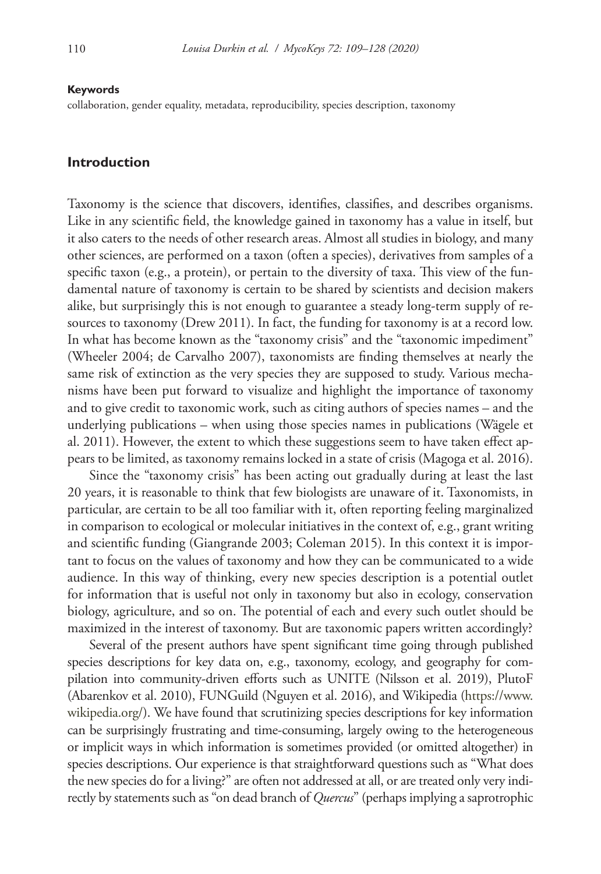#### **Keywords**

collaboration, gender equality, metadata, reproducibility, species description, taxonomy

# **Introduction**

Taxonomy is the science that discovers, identifies, classifies, and describes organisms. Like in any scientific field, the knowledge gained in taxonomy has a value in itself, but it also caters to the needs of other research areas. Almost all studies in biology, and many other sciences, are performed on a taxon (often a species), derivatives from samples of a specific taxon (e.g., a protein), or pertain to the diversity of taxa. This view of the fundamental nature of taxonomy is certain to be shared by scientists and decision makers alike, but surprisingly this is not enough to guarantee a steady long-term supply of resources to taxonomy (Drew 2011). In fact, the funding for taxonomy is at a record low. In what has become known as the "taxonomy crisis" and the "taxonomic impediment" (Wheeler 2004; de Carvalho 2007), taxonomists are finding themselves at nearly the same risk of extinction as the very species they are supposed to study. Various mechanisms have been put forward to visualize and highlight the importance of taxonomy and to give credit to taxonomic work, such as citing authors of species names – and the underlying publications – when using those species names in publications (Wägele et al. 2011). However, the extent to which these suggestions seem to have taken effect appears to be limited, as taxonomy remains locked in a state of crisis (Magoga et al. 2016).

Since the "taxonomy crisis" has been acting out gradually during at least the last 20 years, it is reasonable to think that few biologists are unaware of it. Taxonomists, in particular, are certain to be all too familiar with it, often reporting feeling marginalized in comparison to ecological or molecular initiatives in the context of, e.g., grant writing and scientific funding (Giangrande 2003; Coleman 2015). In this context it is important to focus on the values of taxonomy and how they can be communicated to a wide audience. In this way of thinking, every new species description is a potential outlet for information that is useful not only in taxonomy but also in ecology, conservation biology, agriculture, and so on. The potential of each and every such outlet should be maximized in the interest of taxonomy. But are taxonomic papers written accordingly?

Several of the present authors have spent significant time going through published species descriptions for key data on, e.g., taxonomy, ecology, and geography for compilation into community-driven efforts such as UNITE (Nilsson et al. 2019), PlutoF (Abarenkov et al. 2010), FUNGuild (Nguyen et al. 2016), and Wikipedia [\(https://www.](https://www.wikipedia.org/) [wikipedia.org/](https://www.wikipedia.org/)). We have found that scrutinizing species descriptions for key information can be surprisingly frustrating and time-consuming, largely owing to the heterogeneous or implicit ways in which information is sometimes provided (or omitted altogether) in species descriptions. Our experience is that straightforward questions such as "What does the new species do for a living?" are often not addressed at all, or are treated only very indirectly by statements such as "on dead branch of *Quercus*" (perhaps implying a saprotrophic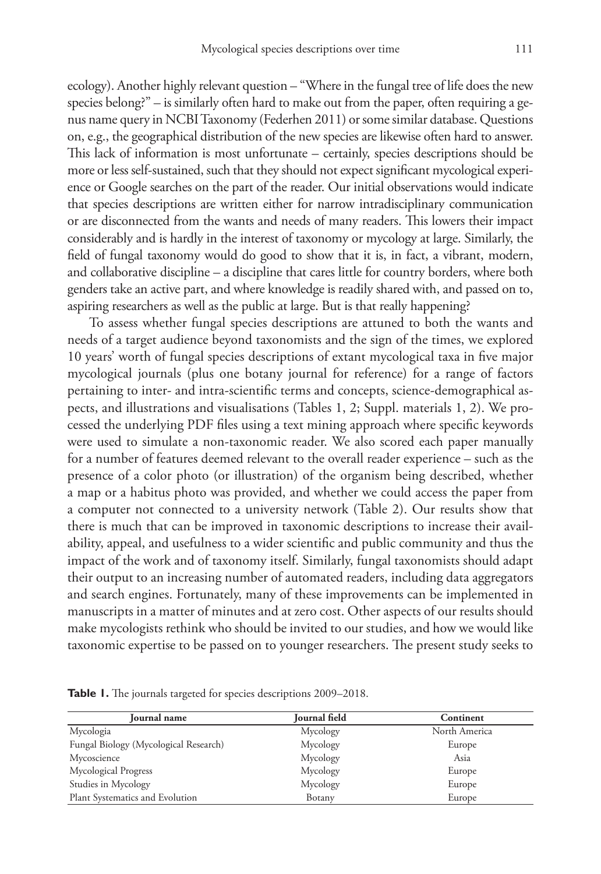ecology). Another highly relevant question – "Where in the fungal tree of life does the new species belong?" – is similarly often hard to make out from the paper, often requiring a genus name query in NCBI Taxonomy (Federhen 2011) or some similar database. Questions on, e.g., the geographical distribution of the new species are likewise often hard to answer. This lack of information is most unfortunate – certainly, species descriptions should be more or less self-sustained, such that they should not expect significant mycological experience or Google searches on the part of the reader. Our initial observations would indicate that species descriptions are written either for narrow intradisciplinary communication or are disconnected from the wants and needs of many readers. This lowers their impact considerably and is hardly in the interest of taxonomy or mycology at large. Similarly, the field of fungal taxonomy would do good to show that it is, in fact, a vibrant, modern, and collaborative discipline – a discipline that cares little for country borders, where both genders take an active part, and where knowledge is readily shared with, and passed on to, aspiring researchers as well as the public at large. But is that really happening?

To assess whether fungal species descriptions are attuned to both the wants and needs of a target audience beyond taxonomists and the sign of the times, we explored 10 years' worth of fungal species descriptions of extant mycological taxa in five major mycological journals (plus one botany journal for reference) for a range of factors pertaining to inter- and intra-scientific terms and concepts, science-demographical aspects, and illustrations and visualisations (Tables 1, 2; Suppl. materials 1, 2). We processed the underlying PDF files using a text mining approach where specific keywords were used to simulate a non-taxonomic reader. We also scored each paper manually for a number of features deemed relevant to the overall reader experience – such as the presence of a color photo (or illustration) of the organism being described, whether a map or a habitus photo was provided, and whether we could access the paper from a computer not connected to a university network (Table 2). Our results show that there is much that can be improved in taxonomic descriptions to increase their availability, appeal, and usefulness to a wider scientific and public community and thus the impact of the work and of taxonomy itself. Similarly, fungal taxonomists should adapt their output to an increasing number of automated readers, including data aggregators and search engines. Fortunately, many of these improvements can be implemented in manuscripts in a matter of minutes and at zero cost. Other aspects of our results should make mycologists rethink who should be invited to our studies, and how we would like taxonomic expertise to be passed on to younger researchers. The present study seeks to

| Journal name                          | Journal field | Continent     |
|---------------------------------------|---------------|---------------|
| Mycologia                             | Mycology      | North America |
| Fungal Biology (Mycological Research) | Mycology      | Europe        |
| Mycoscience                           | Mycology      | Asia          |
| Mycological Progress                  | Mycology      | Europe        |
| Studies in Mycology                   | Mycology      | Europe        |
| Plant Systematics and Evolution       | Botany        | Europe        |

**Table 1.** The journals targeted for species descriptions 2009–2018.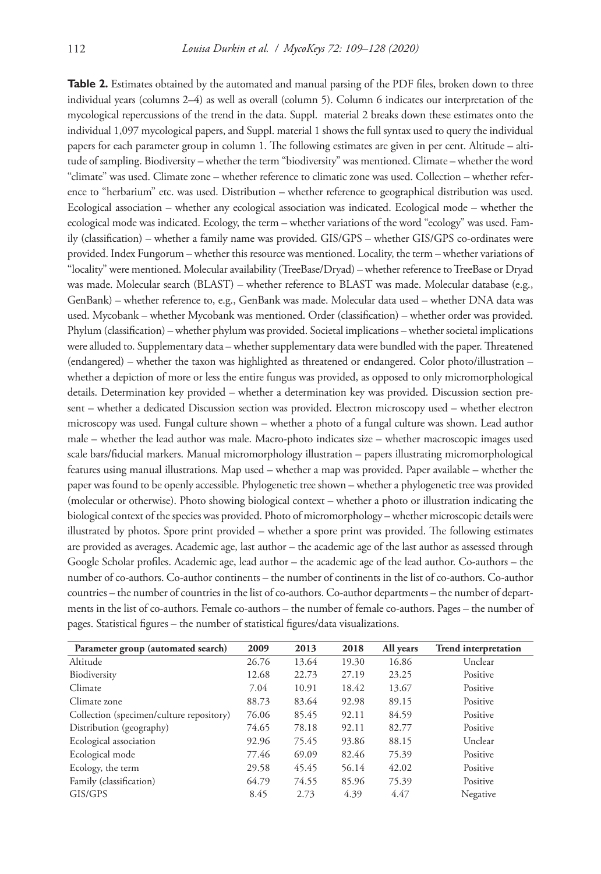**Table 2.** Estimates obtained by the automated and manual parsing of the PDF files, broken down to three individual years (columns 2–4) as well as overall (column 5). Column 6 indicates our interpretation of the mycological repercussions of the trend in the data. Suppl. material 2 breaks down these estimates onto the individual 1,097 mycological papers, and Suppl. material 1 shows the full syntax used to query the individual papers for each parameter group in column 1. The following estimates are given in per cent. Altitude – altitude of sampling. Biodiversity – whether the term "biodiversity" was mentioned. Climate – whether the word "climate" was used. Climate zone – whether reference to climatic zone was used. Collection – whether reference to "herbarium" etc. was used. Distribution – whether reference to geographical distribution was used. Ecological association – whether any ecological association was indicated. Ecological mode – whether the ecological mode was indicated. Ecology, the term – whether variations of the word "ecology" was used. Family (classification) – whether a family name was provided. GIS/GPS – whether GIS/GPS co-ordinates were provided. Index Fungorum – whether this resource was mentioned. Locality, the term – whether variations of "locality" were mentioned. Molecular availability (TreeBase/Dryad) – whether reference to TreeBase or Dryad was made. Molecular search (BLAST) – whether reference to BLAST was made. Molecular database (e.g., GenBank) – whether reference to, e.g., GenBank was made. Molecular data used – whether DNA data was used. Mycobank – whether Mycobank was mentioned. Order (classification) – whether order was provided. Phylum (classification) – whether phylum was provided. Societal implications – whether societal implications were alluded to. Supplementary data – whether supplementary data were bundled with the paper. Threatened (endangered) – whether the taxon was highlighted as threatened or endangered. Color photo/illustration – whether a depiction of more or less the entire fungus was provided, as opposed to only micromorphological details. Determination key provided – whether a determination key was provided. Discussion section present – whether a dedicated Discussion section was provided. Electron microscopy used – whether electron microscopy was used. Fungal culture shown – whether a photo of a fungal culture was shown. Lead author male – whether the lead author was male. Macro-photo indicates size – whether macroscopic images used scale bars/fiducial markers. Manual micromorphology illustration – papers illustrating micromorphological features using manual illustrations. Map used – whether a map was provided. Paper available – whether the paper was found to be openly accessible. Phylogenetic tree shown – whether a phylogenetic tree was provided (molecular or otherwise). Photo showing biological context – whether a photo or illustration indicating the biological context of the species was provided. Photo of micromorphology – whether microscopic details were illustrated by photos. Spore print provided – whether a spore print was provided. The following estimates are provided as averages. Academic age, last author – the academic age of the last author as assessed through Google Scholar profiles. Academic age, lead author – the academic age of the lead author. Co-authors – the number of co-authors. Co-author continents – the number of continents in the list of co-authors. Co-author countries – the number of countries in the list of co-authors. Co-author departments – the number of departments in the list of co-authors. Female co-authors – the number of female co-authors. Pages – the number of pages. Statistical figures – the number of statistical figures/data visualizations.

| Parameter group (automated search)       | 2009  | 2013  | 2018  | All years | <b>Trend interpretation</b> |
|------------------------------------------|-------|-------|-------|-----------|-----------------------------|
| Altitude                                 | 26.76 | 13.64 | 19.30 | 16.86     | Unclear                     |
| Biodiversity                             | 12.68 | 22.73 | 27.19 | 23.25     | Positive                    |
| Climate                                  | 7.04  | 10.91 | 18.42 | 13.67     | Positive                    |
| Climate zone                             | 88.73 | 83.64 | 92.98 | 89.15     | Positive                    |
| Collection (specimen/culture repository) | 76.06 | 85.45 | 92.11 | 84.59     | Positive                    |
| Distribution (geography)                 | 74.65 | 78.18 | 92.11 | 82.77     | Positive                    |
| Ecological association                   | 92.96 | 75.45 | 93.86 | 88.15     | Unclear                     |
| Ecological mode                          | 77.46 | 69.09 | 82.46 | 75.39     | Positive                    |
| Ecology, the term                        | 29.58 | 45.45 | 56.14 | 42.02     | Positive                    |
| Family (classification)                  | 64.79 | 74.55 | 85.96 | 75.39     | Positive                    |
| GIS/GPS                                  | 8.45  | 2.73  | 4.39  | 4.47      | Negative                    |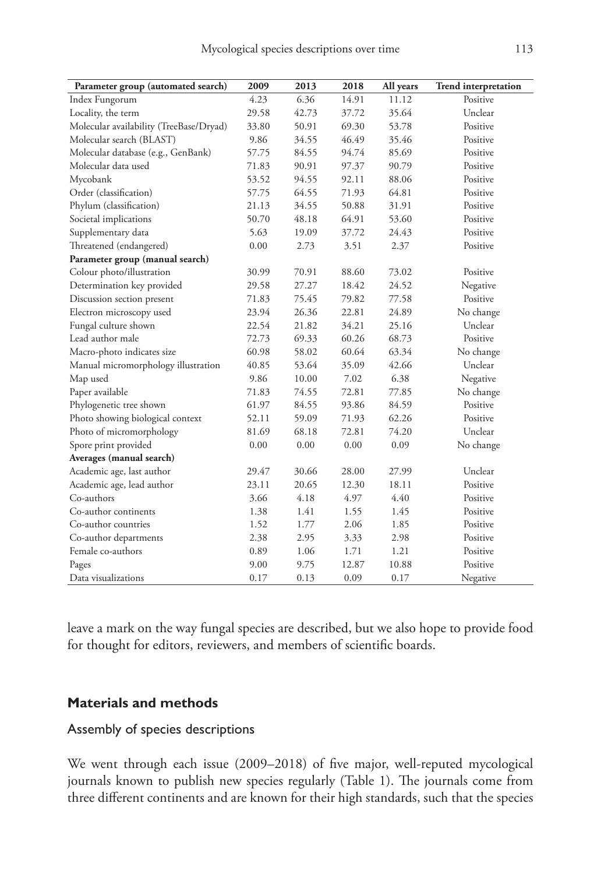| Parameter group (automated search)      | 2009  | 2013  | 2018  | All years | <b>Trend interpretation</b> |
|-----------------------------------------|-------|-------|-------|-----------|-----------------------------|
| Index Fungorum                          | 4.23  | 6.36  | 14.91 | 11.12     | Positive                    |
| Locality, the term                      | 29.58 | 42.73 | 37.72 | 35.64     | Unclear                     |
| Molecular availability (TreeBase/Dryad) | 33.80 | 50.91 | 69.30 | 53.78     | Positive                    |
| Molecular search (BLAST)                | 9.86  | 34.55 | 46.49 | 35.46     | Positive                    |
| Molecular database (e.g., GenBank)      | 57.75 | 84.55 | 94.74 | 85.69     | Positive                    |
| Molecular data used                     | 71.83 | 90.91 | 97.37 | 90.79     | Positive                    |
| Mycobank                                | 53.52 | 94.55 | 92.11 | 88.06     | Positive                    |
| Order (classification)                  | 57.75 | 64.55 | 71.93 | 64.81     | Positive                    |
| Phylum (classification)                 | 21.13 | 34.55 | 50.88 | 31.91     | Positive                    |
| Societal implications                   | 50.70 | 48.18 | 64.91 | 53.60     | Positive                    |
| Supplementary data                      | 5.63  | 19.09 | 37.72 | 24.43     | Positive                    |
| Threatened (endangered)                 | 0.00  | 2.73  | 3.51  | 2.37      | Positive                    |
| Parameter group (manual search)         |       |       |       |           |                             |
| Colour photo/illustration               | 30.99 | 70.91 | 88.60 | 73.02     | Positive                    |
| Determination key provided              | 29.58 | 27.27 | 18.42 | 24.52     | Negative                    |
| Discussion section present              | 71.83 | 75.45 | 79.82 | 77.58     | Positive                    |
| Electron microscopy used                | 23.94 | 26.36 | 22.81 | 24.89     | No change                   |
| Fungal culture shown                    | 22.54 | 21.82 | 34.21 | 25.16     | Unclear                     |
| Lead author male                        | 72.73 | 69.33 | 60.26 | 68.73     | Positive                    |
| Macro-photo indicates size              | 60.98 | 58.02 | 60.64 | 63.34     | No change                   |
| Manual micromorphology illustration     | 40.85 | 53.64 | 35.09 | 42.66     | Unclear                     |
| Map used                                | 9.86  | 10.00 | 7.02  | 6.38      | Negative                    |
| Paper available                         | 71.83 | 74.55 | 72.81 | 77.85     | No change                   |
| Phylogenetic tree shown                 | 61.97 | 84.55 | 93.86 | 84.59     | Positive                    |
| Photo showing biological context        | 52.11 | 59.09 | 71.93 | 62.26     | Positive                    |
| Photo of micromorphology                | 81.69 | 68.18 | 72.81 | 74.20     | Unclear                     |
| Spore print provided                    | 0.00  | 0.00  | 0.00  | 0.09      | No change                   |
| Averages (manual search)                |       |       |       |           |                             |
| Academic age, last author               | 29.47 | 30.66 | 28.00 | 27.99     | Unclear                     |
| Academic age, lead author               | 23.11 | 20.65 | 12.30 | 18.11     | Positive                    |
| Co-authors                              | 3.66  | 4.18  | 4.97  | 4.40      | Positive                    |
| Co-author continents                    | 1.38  | 1.41  | 1.55  | 1.45      | Positive                    |
| Co-author countries                     | 1.52  | 1.77  | 2.06  | 1.85      | Positive                    |
| Co-author departments                   | 2.38  | 2.95  | 3.33  | 2.98      | Positive                    |
| Female co-authors                       | 0.89  | 1.06  | 1.71  | 1.21      | Positive                    |
| Pages                                   | 9.00  | 9.75  | 12.87 | 10.88     | Positive                    |
| Data visualizations                     | 0.17  | 0.13  | 0.09  | 0.17      | Negative                    |

leave a mark on the way fungal species are described, but we also hope to provide food for thought for editors, reviewers, and members of scientific boards.

# **Materials and methods**

# Assembly of species descriptions

We went through each issue (2009–2018) of five major, well-reputed mycological journals known to publish new species regularly (Table 1). The journals come from three different continents and are known for their high standards, such that the species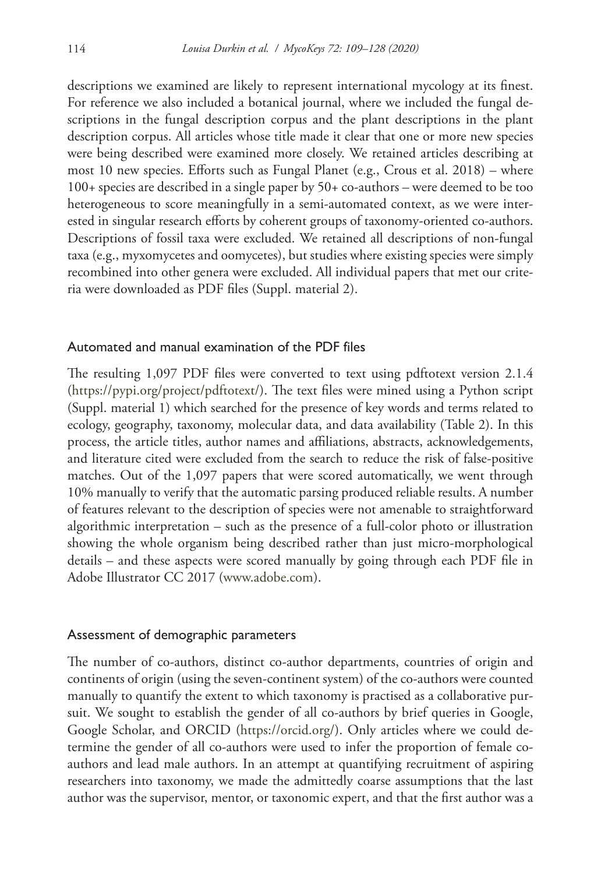descriptions we examined are likely to represent international mycology at its finest. For reference we also included a botanical journal, where we included the fungal descriptions in the fungal description corpus and the plant descriptions in the plant description corpus. All articles whose title made it clear that one or more new species were being described were examined more closely. We retained articles describing at most 10 new species. Efforts such as Fungal Planet (e.g., Crous et al. 2018) – where 100+ species are described in a single paper by 50+ co-authors – were deemed to be too heterogeneous to score meaningfully in a semi-automated context, as we were interested in singular research efforts by coherent groups of taxonomy-oriented co-authors. Descriptions of fossil taxa were excluded. We retained all descriptions of non-fungal taxa (e.g., myxomycetes and oomycetes), but studies where existing species were simply recombined into other genera were excluded. All individual papers that met our criteria were downloaded as PDF files (Suppl. material 2).

## Automated and manual examination of the PDF files

The resulting 1,097 PDF files were converted to text using pdftotext version 2.1.4 (<https://pypi.org/project/pdftotext/>). The text files were mined using a Python script (Suppl. material 1) which searched for the presence of key words and terms related to ecology, geography, taxonomy, molecular data, and data availability (Table 2). In this process, the article titles, author names and affiliations, abstracts, acknowledgements, and literature cited were excluded from the search to reduce the risk of false-positive matches. Out of the 1,097 papers that were scored automatically, we went through 10% manually to verify that the automatic parsing produced reliable results. A number of features relevant to the description of species were not amenable to straightforward algorithmic interpretation – such as the presence of a full-color photo or illustration showing the whole organism being described rather than just micro-morphological details – and these aspects were scored manually by going through each PDF file in Adobe Illustrator CC 2017 (www.adobe.com).

## Assessment of demographic parameters

The number of co-authors, distinct co-author departments, countries of origin and continents of origin (using the seven-continent system) of the co-authors were counted manually to quantify the extent to which taxonomy is practised as a collaborative pursuit. We sought to establish the gender of all co-authors by brief queries in Google, Google Scholar, and ORCID [\(https://orcid.org/\)](https://orcid.org/). Only articles where we could determine the gender of all co-authors were used to infer the proportion of female coauthors and lead male authors. In an attempt at quantifying recruitment of aspiring researchers into taxonomy, we made the admittedly coarse assumptions that the last author was the supervisor, mentor, or taxonomic expert, and that the first author was a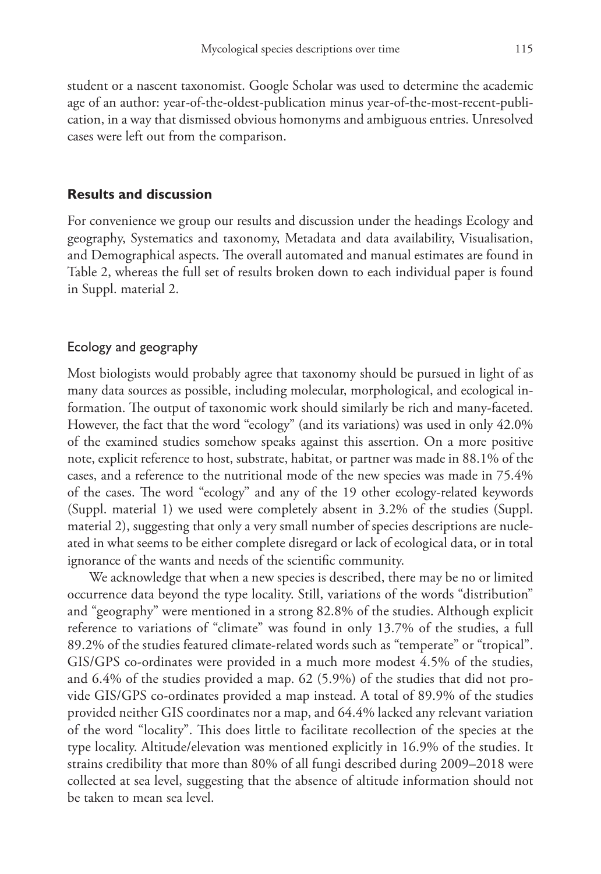student or a nascent taxonomist. Google Scholar was used to determine the academic age of an author: year-of-the-oldest-publication minus year-of-the-most-recent-publication, in a way that dismissed obvious homonyms and ambiguous entries. Unresolved cases were left out from the comparison.

# **Results and discussion**

For convenience we group our results and discussion under the headings Ecology and geography, Systematics and taxonomy, Metadata and data availability, Visualisation, and Demographical aspects. The overall automated and manual estimates are found in Table 2, whereas the full set of results broken down to each individual paper is found in Suppl. material 2.

# Ecology and geography

Most biologists would probably agree that taxonomy should be pursued in light of as many data sources as possible, including molecular, morphological, and ecological information. The output of taxonomic work should similarly be rich and many-faceted. However, the fact that the word "ecology" (and its variations) was used in only 42.0% of the examined studies somehow speaks against this assertion. On a more positive note, explicit reference to host, substrate, habitat, or partner was made in 88.1% of the cases, and a reference to the nutritional mode of the new species was made in 75.4% of the cases. The word "ecology" and any of the 19 other ecology-related keywords (Suppl. material 1) we used were completely absent in 3.2% of the studies (Suppl. material 2), suggesting that only a very small number of species descriptions are nucleated in what seems to be either complete disregard or lack of ecological data, or in total ignorance of the wants and needs of the scientific community.

We acknowledge that when a new species is described, there may be no or limited occurrence data beyond the type locality. Still, variations of the words "distribution" and "geography" were mentioned in a strong 82.8% of the studies. Although explicit reference to variations of "climate" was found in only 13.7% of the studies, a full 89.2% of the studies featured climate-related words such as "temperate" or "tropical". GIS/GPS co-ordinates were provided in a much more modest 4.5% of the studies, and 6.4% of the studies provided a map. 62 (5.9%) of the studies that did not provide GIS/GPS co-ordinates provided a map instead. A total of 89.9% of the studies provided neither GIS coordinates nor a map, and 64.4% lacked any relevant variation of the word "locality". This does little to facilitate recollection of the species at the type locality. Altitude/elevation was mentioned explicitly in 16.9% of the studies. It strains credibility that more than 80% of all fungi described during 2009–2018 were collected at sea level, suggesting that the absence of altitude information should not be taken to mean sea level.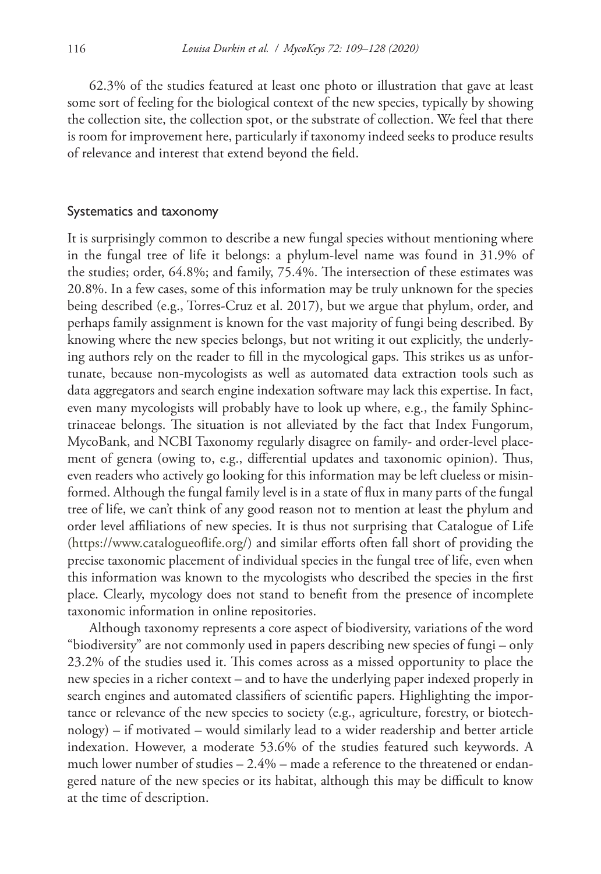62.3% of the studies featured at least one photo or illustration that gave at least some sort of feeling for the biological context of the new species, typically by showing the collection site, the collection spot, or the substrate of collection. We feel that there is room for improvement here, particularly if taxonomy indeed seeks to produce results of relevance and interest that extend beyond the field.

## Systematics and taxonomy

It is surprisingly common to describe a new fungal species without mentioning where in the fungal tree of life it belongs: a phylum-level name was found in 31.9% of the studies; order, 64.8%; and family, 75.4%. The intersection of these estimates was 20.8%. In a few cases, some of this information may be truly unknown for the species being described (e.g., Torres-Cruz et al. 2017), but we argue that phylum, order, and perhaps family assignment is known for the vast majority of fungi being described. By knowing where the new species belongs, but not writing it out explicitly, the underlying authors rely on the reader to fill in the mycological gaps. This strikes us as unfortunate, because non-mycologists as well as automated data extraction tools such as data aggregators and search engine indexation software may lack this expertise. In fact, even many mycologists will probably have to look up where, e.g., the family Sphinctrinaceae belongs. The situation is not alleviated by the fact that Index Fungorum, MycoBank, and NCBI Taxonomy regularly disagree on family- and order-level placement of genera (owing to, e.g., differential updates and taxonomic opinion). Thus, even readers who actively go looking for this information may be left clueless or misinformed. Although the fungal family level is in a state of flux in many parts of the fungal tree of life, we can't think of any good reason not to mention at least the phylum and order level affiliations of new species. It is thus not surprising that Catalogue of Life ([https://www.catalogueoflife.org/\)](https://www.catalogueoflife.org/) and similar efforts often fall short of providing the precise taxonomic placement of individual species in the fungal tree of life, even when this information was known to the mycologists who described the species in the first place. Clearly, mycology does not stand to benefit from the presence of incomplete taxonomic information in online repositories.

Although taxonomy represents a core aspect of biodiversity, variations of the word "biodiversity" are not commonly used in papers describing new species of fungi – only 23.2% of the studies used it. This comes across as a missed opportunity to place the new species in a richer context – and to have the underlying paper indexed properly in search engines and automated classifiers of scientific papers. Highlighting the importance or relevance of the new species to society (e.g., agriculture, forestry, or biotechnology) – if motivated – would similarly lead to a wider readership and better article indexation. However, a moderate 53.6% of the studies featured such keywords. A much lower number of studies – 2.4% – made a reference to the threatened or endangered nature of the new species or its habitat, although this may be difficult to know at the time of description.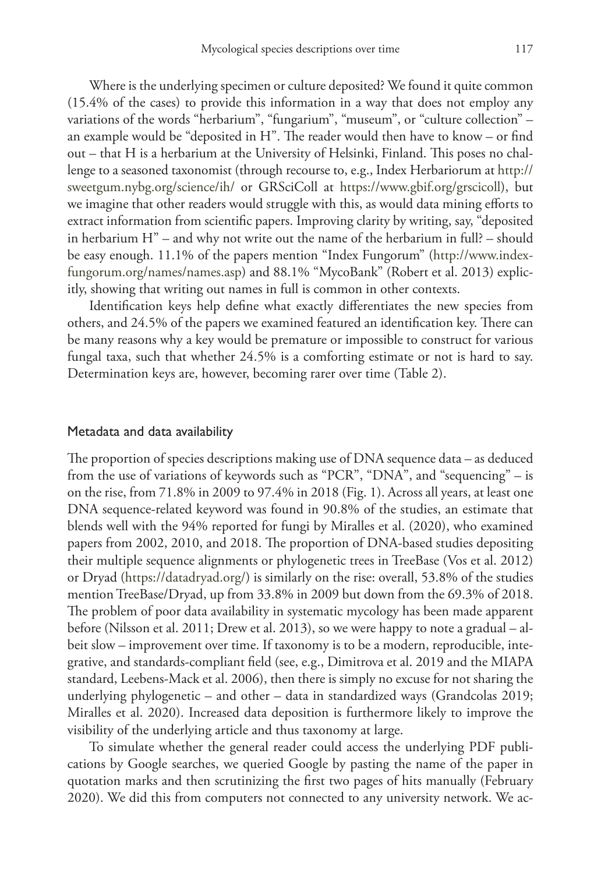Where is the underlying specimen or culture deposited? We found it quite common (15.4% of the cases) to provide this information in a way that does not employ any variations of the words "herbarium", "fungarium", "museum", or "culture collection" – an example would be "deposited in H". The reader would then have to know – or find out – that H is a herbarium at the University of Helsinki, Finland. This poses no challenge to a seasoned taxonomist (through recourse to, e.g., Index Herbariorum at [http://](http://sweetgum.nybg.org/science/ih/) [sweetgum.nybg.org/science/ih/](http://sweetgum.nybg.org/science/ih/) or GRSciColl at [https://www.gbif.org/grscicoll\)](https://www.gbif.org/grscicoll), but we imagine that other readers would struggle with this, as would data mining efforts to extract information from scientific papers. Improving clarity by writing, say, "deposited in herbarium H" – and why not write out the name of the herbarium in full? – should be easy enough. 11.1% of the papers mention "Index Fungorum" [\(http://www.index](http://www.indexfungorum.org/names/names.asp)[fungorum.org/names/names.asp](http://www.indexfungorum.org/names/names.asp)) and 88.1% "MycoBank" (Robert et al. 2013) explicitly, showing that writing out names in full is common in other contexts.

Identification keys help define what exactly differentiates the new species from others, and 24.5% of the papers we examined featured an identification key. There can be many reasons why a key would be premature or impossible to construct for various fungal taxa, such that whether 24.5% is a comforting estimate or not is hard to say. Determination keys are, however, becoming rarer over time (Table 2).

#### Metadata and data availability

The proportion of species descriptions making use of DNA sequence data – as deduced from the use of variations of keywords such as "PCR", "DNA", and "sequencing" – is on the rise, from 71.8% in 2009 to 97.4% in 2018 (Fig. 1). Across all years, at least one DNA sequence-related keyword was found in 90.8% of the studies, an estimate that blends well with the 94% reported for fungi by Miralles et al. (2020), who examined papers from 2002, 2010, and 2018. The proportion of DNA-based studies depositing their multiple sequence alignments or phylogenetic trees in TreeBase (Vos et al. 2012) or Dryad [\(https://datadryad.org/](https://datadryad.org/)) is similarly on the rise: overall, 53.8% of the studies mention TreeBase/Dryad, up from 33.8% in 2009 but down from the 69.3% of 2018. The problem of poor data availability in systematic mycology has been made apparent before (Nilsson et al. 2011; Drew et al. 2013), so we were happy to note a gradual – albeit slow – improvement over time. If taxonomy is to be a modern, reproducible, integrative, and standards-compliant field (see, e.g., Dimitrova et al. 2019 and the MIAPA standard, Leebens-Mack et al. 2006), then there is simply no excuse for not sharing the underlying phylogenetic – and other – data in standardized ways (Grandcolas 2019; Miralles et al. 2020). Increased data deposition is furthermore likely to improve the visibility of the underlying article and thus taxonomy at large.

To simulate whether the general reader could access the underlying PDF publications by Google searches, we queried Google by pasting the name of the paper in quotation marks and then scrutinizing the first two pages of hits manually (February 2020). We did this from computers not connected to any university network. We ac-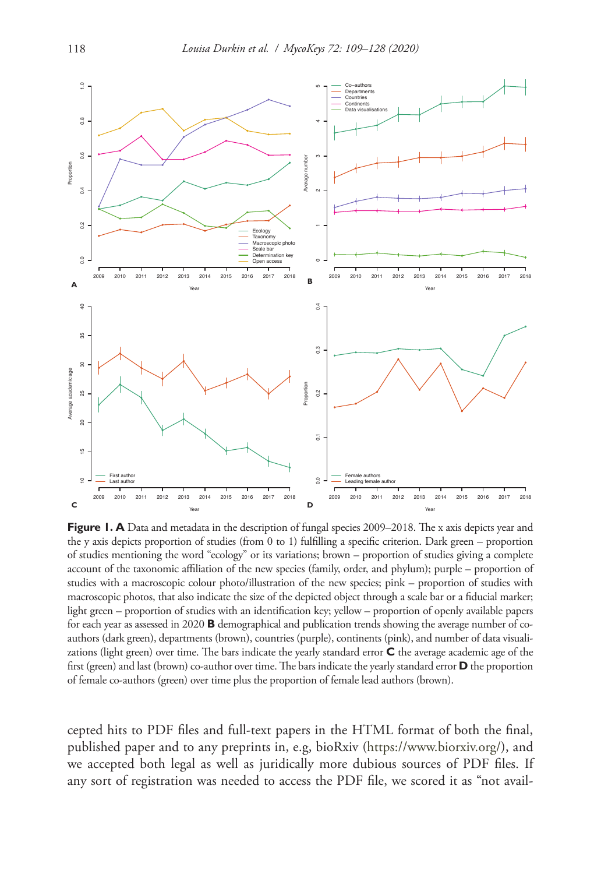

**Figure 1. A** Data and metadata in the description of fungal species 2009–2018. The x axis depicts year and the y axis depicts proportion of studies (from 0 to 1) fulfilling a specific criterion. Dark green – proportion of studies mentioning the word "ecology" or its variations; brown – proportion of studies giving a complete account of the taxonomic affiliation of the new species (family, order, and phylum); purple – proportion of studies with a macroscopic colour photo/illustration of the new species; pink – proportion of studies with macroscopic photos, that also indicate the size of the depicted object through a scale bar or a fiducial marker; light green – proportion of studies with an identification key; yellow – proportion of openly available papers for each year as assessed in 2020 **B** demographical and publication trends showing the average number of coauthors (dark green), departments (brown), countries (purple), continents (pink), and number of data visualizations (light green) over time. The bars indicate the yearly standard error **C** the average academic age of the first (green) and last (brown) co-author over time. The bars indicate the yearly standard error **D** the proportion of female co-authors (green) over time plus the proportion of female lead authors (brown).

cepted hits to PDF files and full-text papers in the HTML format of both the final, published paper and to any preprints in, e.g, bioRxiv (<https://www.biorxiv.org/>), and we accepted both legal as well as juridically more dubious sources of PDF files. If any sort of registration was needed to access the PDF file, we scored it as "not avail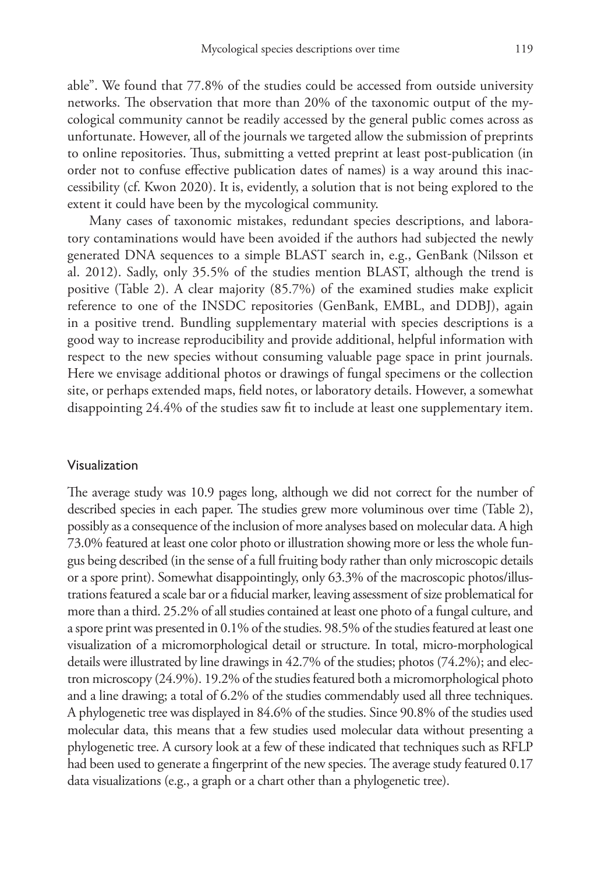able". We found that 77.8% of the studies could be accessed from outside university networks. The observation that more than 20% of the taxonomic output of the mycological community cannot be readily accessed by the general public comes across as unfortunate. However, all of the journals we targeted allow the submission of preprints to online repositories. Thus, submitting a vetted preprint at least post-publication (in order not to confuse effective publication dates of names) is a way around this inaccessibility (cf. Kwon 2020). It is, evidently, a solution that is not being explored to the extent it could have been by the mycological community.

Many cases of taxonomic mistakes, redundant species descriptions, and laboratory contaminations would have been avoided if the authors had subjected the newly generated DNA sequences to a simple BLAST search in, e.g., GenBank (Nilsson et al. 2012). Sadly, only 35.5% of the studies mention BLAST, although the trend is positive (Table 2). A clear majority (85.7%) of the examined studies make explicit reference to one of the INSDC repositories (GenBank, EMBL, and DDBJ), again in a positive trend. Bundling supplementary material with species descriptions is a good way to increase reproducibility and provide additional, helpful information with respect to the new species without consuming valuable page space in print journals. Here we envisage additional photos or drawings of fungal specimens or the collection site, or perhaps extended maps, field notes, or laboratory details. However, a somewhat disappointing 24.4% of the studies saw fit to include at least one supplementary item.

#### Visualization

The average study was 10.9 pages long, although we did not correct for the number of described species in each paper. The studies grew more voluminous over time (Table 2), possibly as a consequence of the inclusion of more analyses based on molecular data. A high 73.0% featured at least one color photo or illustration showing more or less the whole fungus being described (in the sense of a full fruiting body rather than only microscopic details or a spore print). Somewhat disappointingly, only 63.3% of the macroscopic photos/illustrations featured a scale bar or a fiducial marker, leaving assessment of size problematical for more than a third. 25.2% of all studies contained at least one photo of a fungal culture, and a spore print was presented in 0.1% of the studies. 98.5% of the studies featured at least one visualization of a micromorphological detail or structure. In total, micro-morphological details were illustrated by line drawings in 42.7% of the studies; photos (74.2%); and electron microscopy (24.9%). 19.2% of the studies featured both a micromorphological photo and a line drawing; a total of 6.2% of the studies commendably used all three techniques. A phylogenetic tree was displayed in 84.6% of the studies. Since 90.8% of the studies used molecular data, this means that a few studies used molecular data without presenting a phylogenetic tree. A cursory look at a few of these indicated that techniques such as RFLP had been used to generate a fingerprint of the new species. The average study featured 0.17 data visualizations (e.g., a graph or a chart other than a phylogenetic tree).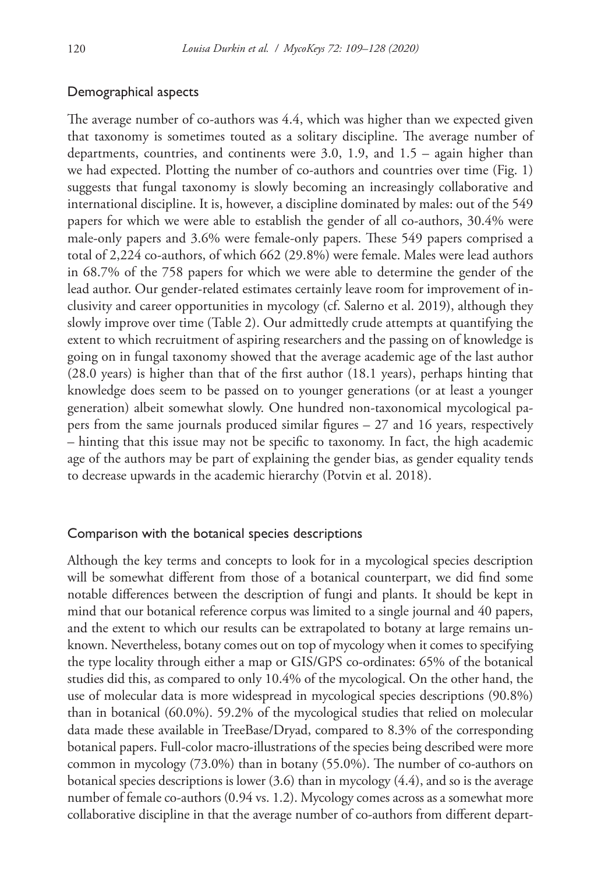# Demographical aspects

The average number of co-authors was 4.4, which was higher than we expected given that taxonomy is sometimes touted as a solitary discipline. The average number of departments, countries, and continents were 3.0, 1.9, and 1.5 – again higher than we had expected. Plotting the number of co-authors and countries over time (Fig. 1) suggests that fungal taxonomy is slowly becoming an increasingly collaborative and international discipline. It is, however, a discipline dominated by males: out of the 549 papers for which we were able to establish the gender of all co-authors, 30.4% were male-only papers and 3.6% were female-only papers. These 549 papers comprised a total of 2,224 co-authors, of which 662 (29.8%) were female. Males were lead authors in 68.7% of the 758 papers for which we were able to determine the gender of the lead author. Our gender-related estimates certainly leave room for improvement of inclusivity and career opportunities in mycology (cf. Salerno et al. 2019), although they slowly improve over time (Table 2). Our admittedly crude attempts at quantifying the extent to which recruitment of aspiring researchers and the passing on of knowledge is going on in fungal taxonomy showed that the average academic age of the last author (28.0 years) is higher than that of the first author (18.1 years), perhaps hinting that knowledge does seem to be passed on to younger generations (or at least a younger generation) albeit somewhat slowly. One hundred non-taxonomical mycological papers from the same journals produced similar figures – 27 and 16 years, respectively – hinting that this issue may not be specific to taxonomy. In fact, the high academic age of the authors may be part of explaining the gender bias, as gender equality tends to decrease upwards in the academic hierarchy (Potvin et al. 2018).

## Comparison with the botanical species descriptions

Although the key terms and concepts to look for in a mycological species description will be somewhat different from those of a botanical counterpart, we did find some notable differences between the description of fungi and plants. It should be kept in mind that our botanical reference corpus was limited to a single journal and 40 papers, and the extent to which our results can be extrapolated to botany at large remains unknown. Nevertheless, botany comes out on top of mycology when it comes to specifying the type locality through either a map or GIS/GPS co-ordinates: 65% of the botanical studies did this, as compared to only 10.4% of the mycological. On the other hand, the use of molecular data is more widespread in mycological species descriptions (90.8%) than in botanical (60.0%). 59.2% of the mycological studies that relied on molecular data made these available in TreeBase/Dryad, compared to 8.3% of the corresponding botanical papers. Full-color macro-illustrations of the species being described were more common in mycology (73.0%) than in botany (55.0%). The number of co-authors on botanical species descriptions is lower (3.6) than in mycology (4.4), and so is the average number of female co-authors (0.94 vs. 1.2). Mycology comes across as a somewhat more collaborative discipline in that the average number of co-authors from different depart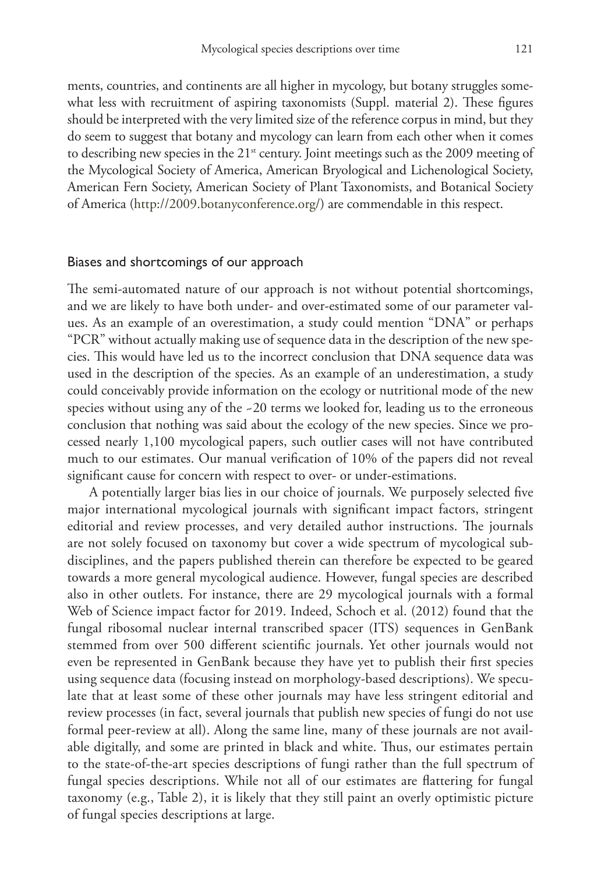ments, countries, and continents are all higher in mycology, but botany struggles somewhat less with recruitment of aspiring taxonomists (Suppl. material 2). These figures should be interpreted with the very limited size of the reference corpus in mind, but they do seem to suggest that botany and mycology can learn from each other when it comes to describing new species in the  $21<sup>st</sup>$  century. Joint meetings such as the 2009 meeting of the Mycological Society of America, American Bryological and Lichenological Society, American Fern Society, American Society of Plant Taxonomists, and Botanical Society of America [\(http://2009.botanyconference.org/](http://2009.botanyconference.org/)) are commendable in this respect.

#### Biases and shortcomings of our approach

The semi-automated nature of our approach is not without potential shortcomings, and we are likely to have both under- and over-estimated some of our parameter values. As an example of an overestimation, a study could mention "DNA" or perhaps "PCR" without actually making use of sequence data in the description of the new species. This would have led us to the incorrect conclusion that DNA sequence data was used in the description of the species. As an example of an underestimation, a study could conceivably provide information on the ecology or nutritional mode of the new species without using any of the ~20 terms we looked for, leading us to the erroneous conclusion that nothing was said about the ecology of the new species. Since we processed nearly 1,100 mycological papers, such outlier cases will not have contributed much to our estimates. Our manual verification of 10% of the papers did not reveal significant cause for concern with respect to over- or under-estimations.

A potentially larger bias lies in our choice of journals. We purposely selected five major international mycological journals with significant impact factors, stringent editorial and review processes, and very detailed author instructions. The journals are not solely focused on taxonomy but cover a wide spectrum of mycological subdisciplines, and the papers published therein can therefore be expected to be geared towards a more general mycological audience. However, fungal species are described also in other outlets. For instance, there are 29 mycological journals with a formal Web of Science impact factor for 2019. Indeed, Schoch et al. (2012) found that the fungal ribosomal nuclear internal transcribed spacer (ITS) sequences in GenBank stemmed from over 500 different scientific journals. Yet other journals would not even be represented in GenBank because they have yet to publish their first species using sequence data (focusing instead on morphology-based descriptions). We speculate that at least some of these other journals may have less stringent editorial and review processes (in fact, several journals that publish new species of fungi do not use formal peer-review at all). Along the same line, many of these journals are not available digitally, and some are printed in black and white. Thus, our estimates pertain to the state-of-the-art species descriptions of fungi rather than the full spectrum of fungal species descriptions. While not all of our estimates are flattering for fungal taxonomy (e.g., Table 2), it is likely that they still paint an overly optimistic picture of fungal species descriptions at large.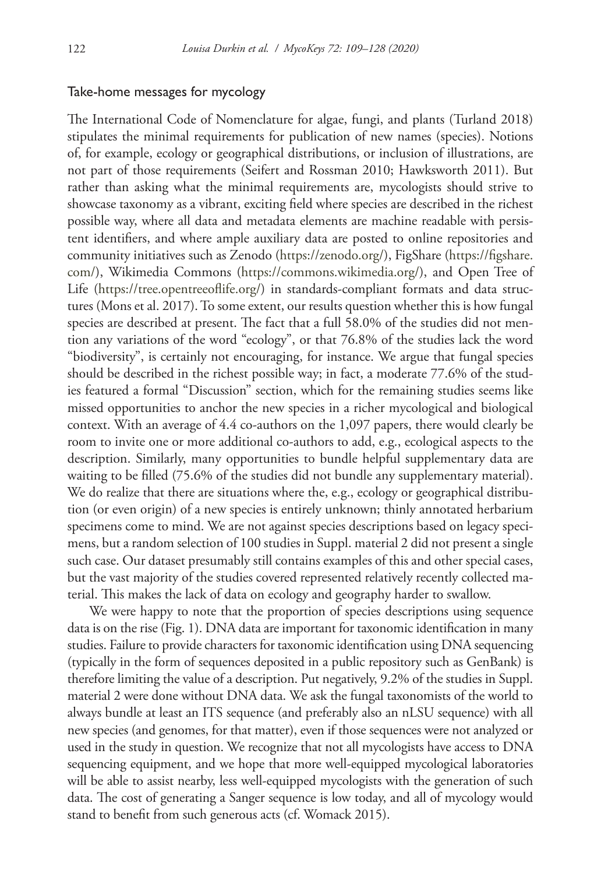## Take-home messages for mycology

The International Code of Nomenclature for algae, fungi, and plants (Turland 2018) stipulates the minimal requirements for publication of new names (species). Notions of, for example, ecology or geographical distributions, or inclusion of illustrations, are not part of those requirements (Seifert and Rossman 2010; Hawksworth 2011). But rather than asking what the minimal requirements are, mycologists should strive to showcase taxonomy as a vibrant, exciting field where species are described in the richest possible way, where all data and metadata elements are machine readable with persistent identifiers, and where ample auxiliary data are posted to online repositories and community initiatives such as Zenodo ([https://zenodo.org/\)](https://zenodo.org/), FigShare ([https://figshare.](https://figshare.com/) [com/](https://figshare.com/)), Wikimedia Commons (<https://commons.wikimedia.org/>), and Open Tree of Life [\(https://tree.opentreeoflife.org/](https://tree.opentreeoflife.org/)) in standards-compliant formats and data structures (Mons et al. 2017). To some extent, our results question whether this is how fungal species are described at present. The fact that a full 58.0% of the studies did not mention any variations of the word "ecology", or that 76.8% of the studies lack the word "biodiversity", is certainly not encouraging, for instance. We argue that fungal species should be described in the richest possible way; in fact, a moderate 77.6% of the studies featured a formal "Discussion" section, which for the remaining studies seems like missed opportunities to anchor the new species in a richer mycological and biological context. With an average of 4.4 co-authors on the 1,097 papers, there would clearly be room to invite one or more additional co-authors to add, e.g., ecological aspects to the description. Similarly, many opportunities to bundle helpful supplementary data are waiting to be filled (75.6% of the studies did not bundle any supplementary material). We do realize that there are situations where the, e.g., ecology or geographical distribution (or even origin) of a new species is entirely unknown; thinly annotated herbarium specimens come to mind. We are not against species descriptions based on legacy specimens, but a random selection of 100 studies in Suppl. material 2 did not present a single such case. Our dataset presumably still contains examples of this and other special cases, but the vast majority of the studies covered represented relatively recently collected material. This makes the lack of data on ecology and geography harder to swallow.

We were happy to note that the proportion of species descriptions using sequence data is on the rise (Fig. 1). DNA data are important for taxonomic identification in many studies. Failure to provide characters for taxonomic identification using DNA sequencing (typically in the form of sequences deposited in a public repository such as GenBank) is therefore limiting the value of a description. Put negatively, 9.2% of the studies in Suppl. material 2 were done without DNA data. We ask the fungal taxonomists of the world to always bundle at least an ITS sequence (and preferably also an nLSU sequence) with all new species (and genomes, for that matter), even if those sequences were not analyzed or used in the study in question. We recognize that not all mycologists have access to DNA sequencing equipment, and we hope that more well-equipped mycological laboratories will be able to assist nearby, less well-equipped mycologists with the generation of such data. The cost of generating a Sanger sequence is low today, and all of mycology would stand to benefit from such generous acts (cf. Womack 2015).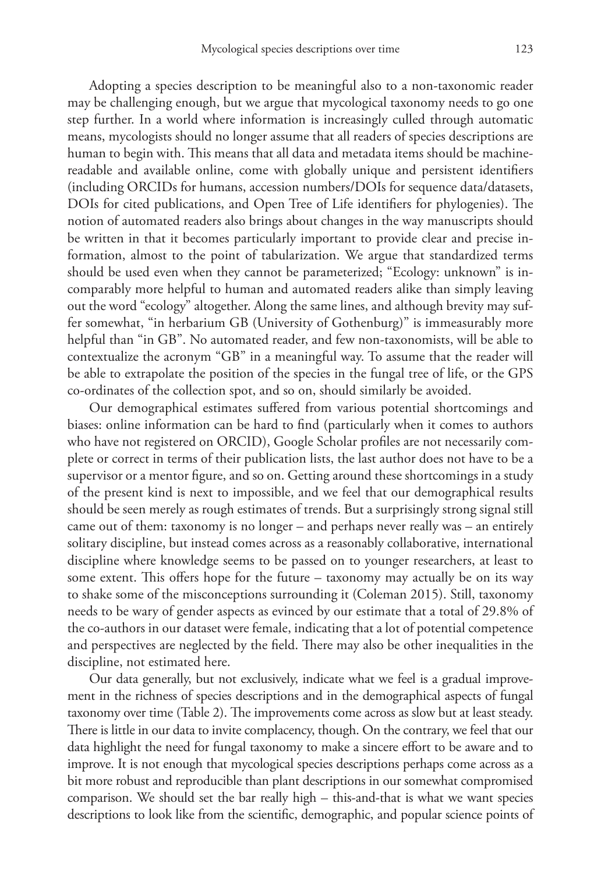Adopting a species description to be meaningful also to a non-taxonomic reader may be challenging enough, but we argue that mycological taxonomy needs to go one step further. In a world where information is increasingly culled through automatic means, mycologists should no longer assume that all readers of species descriptions are human to begin with. This means that all data and metadata items should be machinereadable and available online, come with globally unique and persistent identifiers (including ORCIDs for humans, accession numbers/DOIs for sequence data/datasets, DOIs for cited publications, and Open Tree of Life identifiers for phylogenies). The notion of automated readers also brings about changes in the way manuscripts should be written in that it becomes particularly important to provide clear and precise information, almost to the point of tabularization. We argue that standardized terms should be used even when they cannot be parameterized; "Ecology: unknown" is incomparably more helpful to human and automated readers alike than simply leaving out the word "ecology" altogether. Along the same lines, and although brevity may suffer somewhat, "in herbarium GB (University of Gothenburg)" is immeasurably more helpful than "in GB". No automated reader, and few non-taxonomists, will be able to contextualize the acronym "GB" in a meaningful way. To assume that the reader will be able to extrapolate the position of the species in the fungal tree of life, or the GPS co-ordinates of the collection spot, and so on, should similarly be avoided.

Our demographical estimates suffered from various potential shortcomings and biases: online information can be hard to find (particularly when it comes to authors who have not registered on ORCID), Google Scholar profiles are not necessarily complete or correct in terms of their publication lists, the last author does not have to be a supervisor or a mentor figure, and so on. Getting around these shortcomings in a study of the present kind is next to impossible, and we feel that our demographical results should be seen merely as rough estimates of trends. But a surprisingly strong signal still came out of them: taxonomy is no longer – and perhaps never really was – an entirely solitary discipline, but instead comes across as a reasonably collaborative, international discipline where knowledge seems to be passed on to younger researchers, at least to some extent. This offers hope for the future – taxonomy may actually be on its way to shake some of the misconceptions surrounding it (Coleman 2015). Still, taxonomy needs to be wary of gender aspects as evinced by our estimate that a total of 29.8% of the co-authors in our dataset were female, indicating that a lot of potential competence and perspectives are neglected by the field. There may also be other inequalities in the discipline, not estimated here.

Our data generally, but not exclusively, indicate what we feel is a gradual improvement in the richness of species descriptions and in the demographical aspects of fungal taxonomy over time (Table 2). The improvements come across as slow but at least steady. There is little in our data to invite complacency, though. On the contrary, we feel that our data highlight the need for fungal taxonomy to make a sincere effort to be aware and to improve. It is not enough that mycological species descriptions perhaps come across as a bit more robust and reproducible than plant descriptions in our somewhat compromised comparison. We should set the bar really high – this-and-that is what we want species descriptions to look like from the scientific, demographic, and popular science points of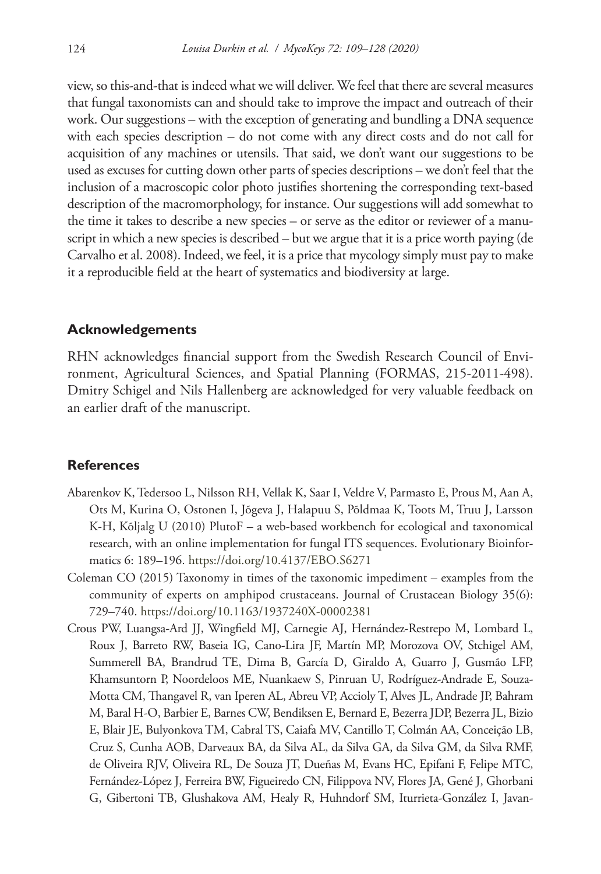view, so this-and-that is indeed what we will deliver. We feel that there are several measures that fungal taxonomists can and should take to improve the impact and outreach of their work. Our suggestions – with the exception of generating and bundling a DNA sequence with each species description – do not come with any direct costs and do not call for acquisition of any machines or utensils. That said, we don't want our suggestions to be used as excuses for cutting down other parts of species descriptions – we don't feel that the inclusion of a macroscopic color photo justifies shortening the corresponding text-based description of the macromorphology, for instance. Our suggestions will add somewhat to the time it takes to describe a new species – or serve as the editor or reviewer of a manuscript in which a new species is described – but we argue that it is a price worth paying (de Carvalho et al. 2008). Indeed, we feel, it is a price that mycology simply must pay to make it a reproducible field at the heart of systematics and biodiversity at large.

## **Acknowledgements**

RHN acknowledges financial support from the Swedish Research Council of Environment, Agricultural Sciences, and Spatial Planning (FORMAS, 215-2011-498). Dmitry Schigel and Nils Hallenberg are acknowledged for very valuable feedback on an earlier draft of the manuscript.

## **References**

- Abarenkov K, Tedersoo L, Nilsson RH, Vellak K, Saar I, Veldre V, Parmasto E, Prous M, Aan A, Ots M, Kurina O, Ostonen I, Jõgeva J, Halapuu S, Põldmaa K, Toots M, Truu J, Larsson K-H, Kõljalg U (2010) PlutoF – a web-based workbench for ecological and taxonomical research, with an online implementation for fungal ITS sequences. Evolutionary Bioinformatics 6: 189–196. <https://doi.org/10.4137/EBO.S6271>
- Coleman CO (2015) Taxonomy in times of the taxonomic impediment examples from the community of experts on amphipod crustaceans. Journal of Crustacean Biology 35(6): 729–740.<https://doi.org/10.1163/1937240X-00002381>
- Crous PW, Luangsa-Ard JJ, Wingfield MJ, Carnegie AJ, Hernández-Restrepo M, Lombard L, Roux J, Barreto RW, Baseia IG, Cano-Lira JF, Martín MP, Morozova OV, Stchigel AM, Summerell BA, Brandrud TE, Dima B, García D, Giraldo A, Guarro J, Gusmão LFP, Khamsuntorn P, Noordeloos ME, Nuankaew S, Pinruan U, Rodríguez-Andrade E, Souza-Motta CM, Thangavel R, van Iperen AL, Abreu VP, Accioly T, Alves JL, Andrade JP, Bahram M, Baral H-O, Barbier E, Barnes CW, Bendiksen E, Bernard E, Bezerra JDP, Bezerra JL, Bizio E, Blair JE, Bulyonkova TM, Cabral TS, Caiafa MV, Cantillo T, Colmán AA, Conceição LB, Cruz S, Cunha AOB, Darveaux BA, da Silva AL, da Silva GA, da Silva GM, da Silva RMF, de Oliveira RJV, Oliveira RL, De Souza JT, Dueñas M, Evans HC, Epifani F, Felipe MTC, Fernández-López J, Ferreira BW, Figueiredo CN, Filippova NV, Flores JA, Gené J, Ghorbani G, Gibertoni TB, Glushakova AM, Healy R, Huhndorf SM, Iturrieta-González I, Javan-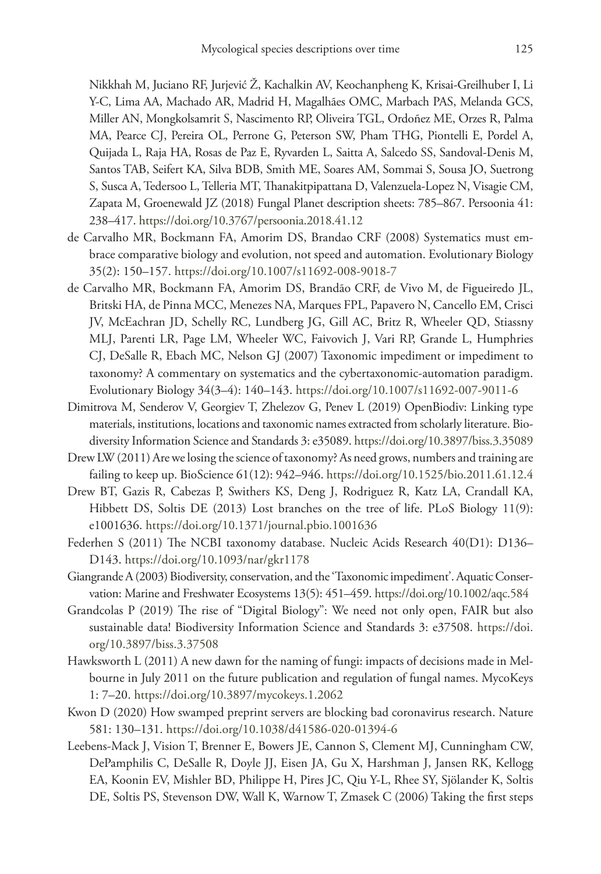Nikkhah M, Juciano RF, Jurjević Ž, Kachalkin AV, Keochanpheng K, Krisai-Greilhuber I, Li Y-C, Lima AA, Machado AR, Madrid H, Magalhães OMC, Marbach PAS, Melanda GCS, Miller AN, Mongkolsamrit S, Nascimento RP, Oliveira TGL, Ordoñez ME, Orzes R, Palma MA, Pearce CJ, Pereira OL, Perrone G, Peterson SW, Pham THG, Piontelli E, Pordel A, Quijada L, Raja HA, Rosas de Paz E, Ryvarden L, Saitta A, Salcedo SS, Sandoval-Denis M, Santos TAB, Seifert KA, Silva BDB, Smith ME, Soares AM, Sommai S, Sousa JO, Suetrong S, Susca A, Tedersoo L, Telleria MT, Thanakitpipattana D, Valenzuela-Lopez N, Visagie CM, Zapata M, Groenewald JZ (2018) Fungal Planet description sheets: 785–867. Persoonia 41: 238–417.<https://doi.org/10.3767/persoonia.2018.41.12>

- de Carvalho MR, Bockmann FA, Amorim DS, Brandao CRF (2008) Systematics must embrace comparative biology and evolution, not speed and automation. Evolutionary Biology 35(2): 150–157. <https://doi.org/10.1007/s11692-008-9018-7>
- de Carvalho MR, Bockmann FA, Amorim DS, Brandão CRF, de Vivo M, de Figueiredo JL, Britski HA, de Pinna MCC, Menezes NA, Marques FPL, Papavero N, Cancello EM, Crisci JV, McEachran JD, Schelly RC, Lundberg JG, Gill AC, Britz R, Wheeler QD, Stiassny MLJ, Parenti LR, Page LM, Wheeler WC, Faivovich J, Vari RP, Grande L, Humphries CJ, DeSalle R, Ebach MC, Nelson GJ (2007) Taxonomic impediment or impediment to taxonomy? A commentary on systematics and the cybertaxonomic-automation paradigm. Evolutionary Biology 34(3–4): 140–143.<https://doi.org/10.1007/s11692-007-9011-6>
- Dimitrova M, Senderov V, Georgiev T, Zhelezov G, Penev L (2019) OpenBiodiv: Linking type materials, institutions, locations and taxonomic names extracted from scholarly literature. Biodiversity Information Science and Standards 3: e35089.<https://doi.org/10.3897/biss.3.35089>
- Drew LW (2011) Are we losing the science of taxonomy? As need grows, numbers and training are failing to keep up. BioScience 61(12): 942–946.<https://doi.org/10.1525/bio.2011.61.12.4>
- Drew BT, Gazis R, Cabezas P, Swithers KS, Deng J, Rodriguez R, Katz LA, Crandall KA, Hibbett DS, Soltis DE (2013) Lost branches on the tree of life. PLoS Biology 11(9): e1001636.<https://doi.org/10.1371/journal.pbio.1001636>
- Federhen S (2011) The NCBI taxonomy database. Nucleic Acids Research 40(D1): D136– D143.<https://doi.org/10.1093/nar/gkr1178>
- Giangrande A (2003) Biodiversity, conservation, and the 'Taxonomic impediment'. Aquatic Conservation: Marine and Freshwater Ecosystems 13(5): 451–459. <https://doi.org/10.1002/aqc.584>
- Grandcolas P (2019) The rise of "Digital Biology": We need not only open, FAIR but also sustainable data! Biodiversity Information Science and Standards 3: e37508. [https://doi.](https://doi.org/10.3897/biss.3.37508) [org/10.3897/biss.3.37508](https://doi.org/10.3897/biss.3.37508)
- Hawksworth L (2011) A new dawn for the naming of fungi: impacts of decisions made in Melbourne in July 2011 on the future publication and regulation of fungal names. MycoKeys 1: 7–20.<https://doi.org/10.3897/mycokeys.1.2062>
- Kwon D (2020) How swamped preprint servers are blocking bad coronavirus research. Nature 581: 130–131.<https://doi.org/10.1038/d41586-020-01394-6>
- Leebens-Mack J, Vision T, Brenner E, Bowers JE, Cannon S, Clement MJ, Cunningham CW, DePamphilis C, DeSalle R, Doyle JJ, Eisen JA, Gu X, Harshman J, Jansen RK, Kellogg EA, Koonin EV, Mishler BD, Philippe H, Pires JC, Qiu Y-L, Rhee SY, Sjölander K, Soltis DE, Soltis PS, Stevenson DW, Wall K, Warnow T, Zmasek C (2006) Taking the first steps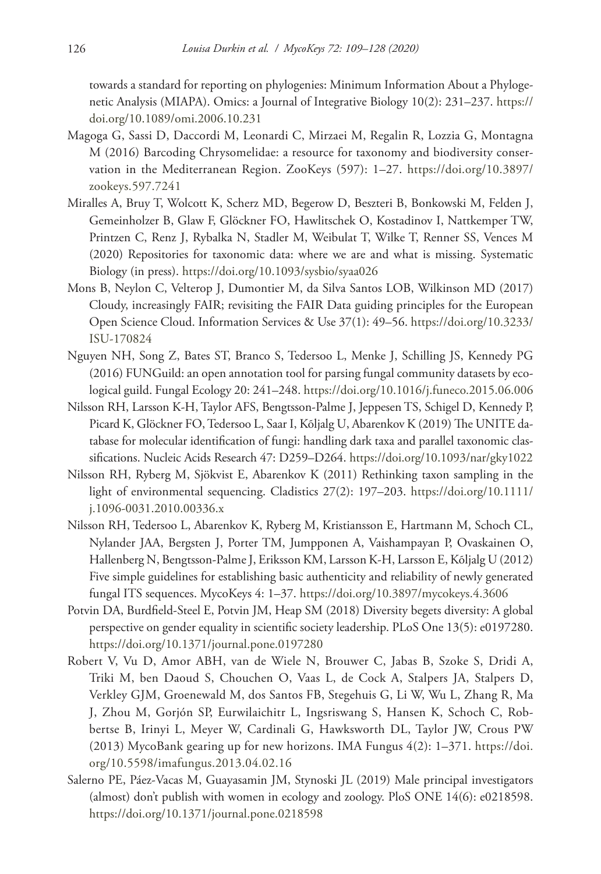towards a standard for reporting on phylogenies: Minimum Information About a Phylogenetic Analysis (MIAPA). Omics: a Journal of Integrative Biology 10(2): 231–237. [https://](https://doi.org/10.1089/omi.2006.10.231) [doi.org/10.1089/omi.2006.10.231](https://doi.org/10.1089/omi.2006.10.231)

- Magoga G, Sassi D, Daccordi M, Leonardi C, Mirzaei M, Regalin R, Lozzia G, Montagna M (2016) Barcoding Chrysomelidae: a resource for taxonomy and biodiversity conservation in the Mediterranean Region. ZooKeys (597): 1–27. [https://doi.org/10.3897/](https://doi.org/10.3897/zookeys.597.7241) [zookeys.597.7241](https://doi.org/10.3897/zookeys.597.7241)
- Miralles A, Bruy T, Wolcott K, Scherz MD, Begerow D, Beszteri B, Bonkowski M, Felden J, Gemeinholzer B, Glaw F, Glöckner FO, Hawlitschek O, Kostadinov I, Nattkemper TW, Printzen C, Renz J, Rybalka N, Stadler M, Weibulat T, Wilke T, Renner SS, Vences M (2020) Repositories for taxonomic data: where we are and what is missing. Systematic Biology (in press). <https://doi.org/10.1093/sysbio/syaa026>
- Mons B, Neylon C, Velterop J, Dumontier M, da Silva Santos LOB, Wilkinson MD (2017) Cloudy, increasingly FAIR; revisiting the FAIR Data guiding principles for the European Open Science Cloud. Information Services & Use 37(1): 49–56. [https://doi.org/10.3233/](https://doi.org/10.3233/ISU-170824) [ISU-170824](https://doi.org/10.3233/ISU-170824)
- Nguyen NH, Song Z, Bates ST, Branco S, Tedersoo L, Menke J, Schilling JS, Kennedy PG (2016) FUNGuild: an open annotation tool for parsing fungal community datasets by ecological guild. Fungal Ecology 20: 241–248.<https://doi.org/10.1016/j.funeco.2015.06.006>
- Nilsson RH, Larsson K-H, Taylor AFS, Bengtsson-Palme J, Jeppesen TS, Schigel D, Kennedy P, Picard K, Glöckner FO, Tedersoo L, Saar I, Kõljalg U, Abarenkov K (2019) The UNITE database for molecular identification of fungi: handling dark taxa and parallel taxonomic classifications. Nucleic Acids Research 47: D259–D264.<https://doi.org/10.1093/nar/gky1022>
- Nilsson RH, Ryberg M, Sjökvist E, Abarenkov K (2011) Rethinking taxon sampling in the light of environmental sequencing. Cladistics 27(2): 197–203. [https://doi.org/10.1111/](https://doi.org/10.1111/j.1096-0031.2010.00336.x) [j.1096-0031.2010.00336.x](https://doi.org/10.1111/j.1096-0031.2010.00336.x)
- Nilsson RH, Tedersoo L, Abarenkov K, Ryberg M, Kristiansson E, Hartmann M, Schoch CL, Nylander JAA, Bergsten J, Porter TM, Jumpponen A, Vaishampayan P, Ovaskainen O, Hallenberg N, Bengtsson-Palme J, Eriksson KM, Larsson K-H, Larsson E, Kõljalg U (2012) Five simple guidelines for establishing basic authenticity and reliability of newly generated fungal ITS sequences. MycoKeys 4: 1–37.<https://doi.org/10.3897/mycokeys.4.3606>
- Potvin DA, Burdfield-Steel E, Potvin JM, Heap SM (2018) Diversity begets diversity: A global perspective on gender equality in scientific society leadership. PLoS One 13(5): e0197280. <https://doi.org/10.1371/journal.pone.0197280>
- Robert V, Vu D, Amor ABH, van de Wiele N, Brouwer C, Jabas B, Szoke S, Dridi A, Triki M, ben Daoud S, Chouchen O, Vaas L, de Cock A, Stalpers JA, Stalpers D, Verkley GJM, Groenewald M, dos Santos FB, Stegehuis G, Li W, Wu L, Zhang R, Ma J, Zhou M, Gorjón SP, Eurwilaichitr L, Ingsriswang S, Hansen K, Schoch C, Robbertse B, Irinyi L, Meyer W, Cardinali G, Hawksworth DL, Taylor JW, Crous PW (2013) MycoBank gearing up for new horizons. IMA Fungus 4(2): 1–371. [https://doi.](https://doi.org/10.5598/imafungus.2013.04.02.16) [org/10.5598/imafungus.2013.04.02.16](https://doi.org/10.5598/imafungus.2013.04.02.16)
- Salerno PE, Páez-Vacas M, Guayasamin JM, Stynoski JL (2019) Male principal investigators (almost) don't publish with women in ecology and zoology. PloS ONE 14(6): e0218598. <https://doi.org/10.1371/journal.pone.0218598>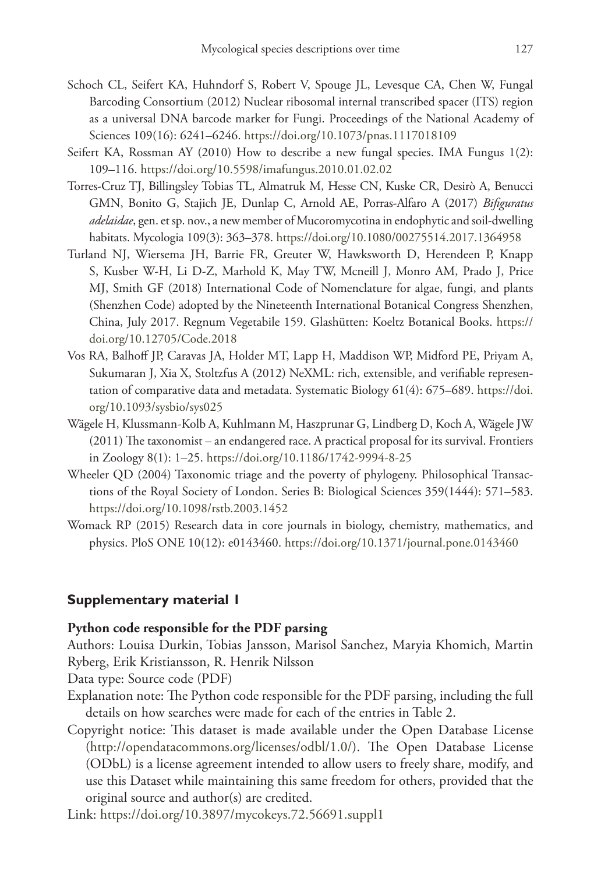- Schoch CL, Seifert KA, Huhndorf S, Robert V, Spouge JL, Levesque CA, Chen W, Fungal Barcoding Consortium (2012) Nuclear ribosomal internal transcribed spacer (ITS) region as a universal DNA barcode marker for Fungi. Proceedings of the National Academy of Sciences 109(16): 6241–6246.<https://doi.org/10.1073/pnas.1117018109>
- Seifert KA, Rossman AY (2010) How to describe a new fungal species. IMA Fungus 1(2): 109–116.<https://doi.org/10.5598/imafungus.2010.01.02.02>
- Torres-Cruz TJ, Billingsley Tobias TL, Almatruk M, Hesse CN, Kuske CR, Desirò A, Benucci GMN, Bonito G, Stajich JE, Dunlap C, Arnold AE, Porras-Alfaro A (2017) *Bifiguratus adelaidae*, gen. et sp. nov., a new member of Mucoromycotina in endophytic and soil-dwelling habitats. Mycologia 109(3): 363–378.<https://doi.org/10.1080/00275514.2017.1364958>
- Turland NJ, Wiersema JH, Barrie FR, Greuter W, Hawksworth D, Herendeen P, Knapp S, Kusber W-H, Li D-Z, Marhold K, May TW, Mcneill J, Monro AM, Prado J, Price MJ, Smith GF (2018) International Code of Nomenclature for algae, fungi, and plants (Shenzhen Code) adopted by the Nineteenth International Botanical Congress Shenzhen, China, July 2017. Regnum Vegetabile 159. Glashütten: Koeltz Botanical Books. [https://](https://doi.org/10.12705/Code.2018) [doi.org/10.12705/Code.2018](https://doi.org/10.12705/Code.2018)
- Vos RA, Balhoff JP, Caravas JA, Holder MT, Lapp H, Maddison WP, Midford PE, Priyam A, Sukumaran J, Xia X, Stoltzfus A (2012) NeXML: rich, extensible, and verifiable representation of comparative data and metadata. Systematic Biology 61(4): 675–689. [https://doi.](https://doi.org/10.1093/sysbio/sys025) [org/10.1093/sysbio/sys025](https://doi.org/10.1093/sysbio/sys025)
- Wägele H, Klussmann-Kolb A, Kuhlmann M, Haszprunar G, Lindberg D, Koch A, Wägele JW (2011) The taxonomist – an endangered race. A practical proposal for its survival. Frontiers in Zoology 8(1): 1–25. <https://doi.org/10.1186/1742-9994-8-25>
- Wheeler QD (2004) Taxonomic triage and the poverty of phylogeny. Philosophical Transactions of the Royal Society of London. Series B: Biological Sciences 359(1444): 571–583. <https://doi.org/10.1098/rstb.2003.1452>
- Womack RP (2015) Research data in core journals in biology, chemistry, mathematics, and physics. PloS ONE 10(12): e0143460. <https://doi.org/10.1371/journal.pone.0143460>

# **Supplementary material 1**

# **Python code responsible for the PDF parsing**

Authors: Louisa Durkin, Tobias Jansson, Marisol Sanchez, Maryia Khomich, Martin Ryberg, Erik Kristiansson, R. Henrik Nilsson

Data type: Source code (PDF)

- Explanation note: The Python code responsible for the PDF parsing, including the full details on how searches were made for each of the entries in Table 2.
- Copyright notice: This dataset is made available under the Open Database License [\(http://opendatacommons.org/licenses/odbl/1.0/](http://opendatacommons.org/licenses/odbl/1.0/)). The Open Database License (ODbL) is a license agreement intended to allow users to freely share, modify, and use this Dataset while maintaining this same freedom for others, provided that the original source and author(s) are credited.

Link: <https://doi.org/10.3897/mycokeys.72.56691.suppl1>